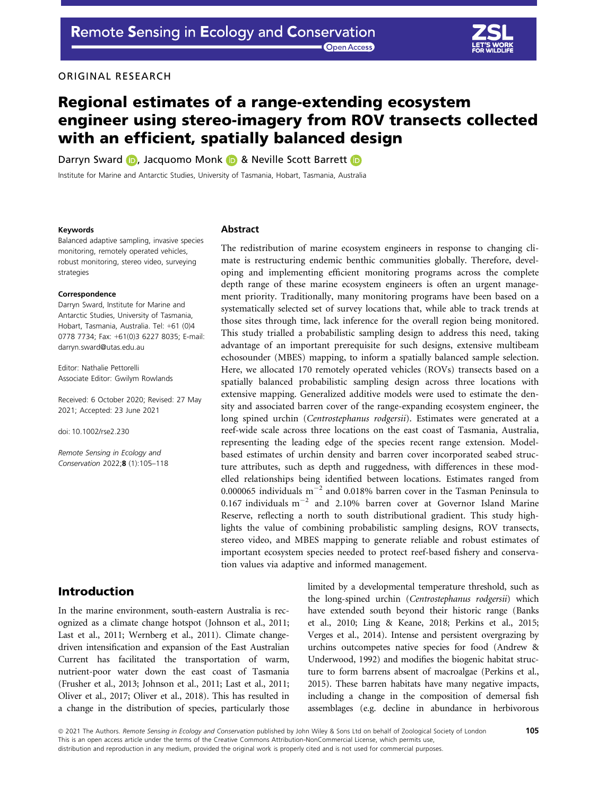**Open Access** 

#### ORIGINAL RESEARCH

# Regional estimates of a range-extending ecosystem engineer using stereo-imagery from ROV transects collected with an efficient, spatially balanced design

Darryn Sward (D, Jacquomo Monk (D & Neville Sco[t](https://orcid.org/0000-0002-6167-1356)t Barrett (D

Institute for Marine and Antarctic Studies, University of Tasmania, Hobart, Tasmania, Australia

#### Keywords

Balanced adaptive sampling, invasive species monitoring, remotely operated vehicles, robust monitoring, stereo video, surveying strategies

#### Correspondence

Darryn Sward, Institute for Marine and Antarctic Studies, University of Tasmania, Hobart, Tasmania, Australia. Tel: +61 (0)4 0778 7734; Fax: +61(0)3 6227 8035; E-mail: [darryn.sward@utas.edu.au](mailto:)

Editor: Nathalie Pettorelli Associate Editor: Gwilym Rowlands

Received: 6 October 2020; Revised: 27 May 2021; Accepted: 23 June 2021

doi: 10.1002/rse2.230

Remote Sensing in Ecology and Conservation 2022;8 (1):105–118

# Introduction

In the marine environment, south-eastern Australia is recognized as a climate change hotspot (Johnson et al., 2011; Last et al., 2011; Wernberg et al., 2011). Climate changedriven intensification and expansion of the East Australian Current has facilitated the transportation of warm, nutrient-poor water down the east coast of Tasmania (Frusher et al., 2013; Johnson et al., 2011; Last et al., 2011; Oliver et al., 2017; Oliver et al., 2018). This has resulted in a change in the distribution of species, particularly those

#### Abstract

The redistribution of marine ecosystem engineers in response to changing climate is restructuring endemic benthic communities globally. Therefore, developing and implementing efficient monitoring programs across the complete depth range of these marine ecosystem engineers is often an urgent management priority. Traditionally, many monitoring programs have been based on a systematically selected set of survey locations that, while able to track trends at those sites through time, lack inference for the overall region being monitored. This study trialled a probabilistic sampling design to address this need, taking advantage of an important prerequisite for such designs, extensive multibeam echosounder (MBES) mapping, to inform a spatially balanced sample selection. Here, we allocated 170 remotely operated vehicles (ROVs) transects based on a spatially balanced probabilistic sampling design across three locations with extensive mapping. Generalized additive models were used to estimate the density and associated barren cover of the range-expanding ecosystem engineer, the long spined urchin (Centrostephanus rodgersii). Estimates were generated at a reef-wide scale across three locations on the east coast of Tasmania, Australia, representing the leading edge of the species recent range extension. Modelbased estimates of urchin density and barren cover incorporated seabed structure attributes, such as depth and ruggedness, with differences in these modelled relationships being identified between locations. Estimates ranged from 0.000065 individuals  $m^{-2}$  and 0.018% barren cover in the Tasman Peninsula to 0.167 individuals  $m^{-2}$  and 2.10% barren cover at Governor Island Marine Reserve, reflecting a north to south distributional gradient. This study highlights the value of combining probabilistic sampling designs, ROV transects, stereo video, and MBES mapping to generate reliable and robust estimates of important ecosystem species needed to protect reef-based fishery and conservation values via adaptive and informed management.

> limited by a developmental temperature threshold, such as the long-spined urchin (Centrostephanus rodgersii) which have extended south beyond their historic range (Banks et al., 2010; Ling & Keane, 2018; Perkins et al., 2015; Verges et al., 2014). Intense and persistent overgrazing by urchins outcompetes native species for food (Andrew & Underwood, 1992) and modifies the biogenic habitat structure to form barrens absent of macroalgae (Perkins et al., 2015). These barren habitats have many negative impacts, including a change in the composition of demersal fish assemblages (e.g. decline in abundance in herbivorous

ª 2021 The Authors. Remote Sensing in Ecology and Conservation published by John Wiley & Sons Ltd on behalf of Zoological Society of London This is an open access article under the terms of the [Creative Commons Attribution-NonCommercial](http://creativecommons.org/licenses/by-nc/4.0/) License, which permits use, distribution and reproduction in any medium, provided the original work is properly cited and is not used for commercial purposes.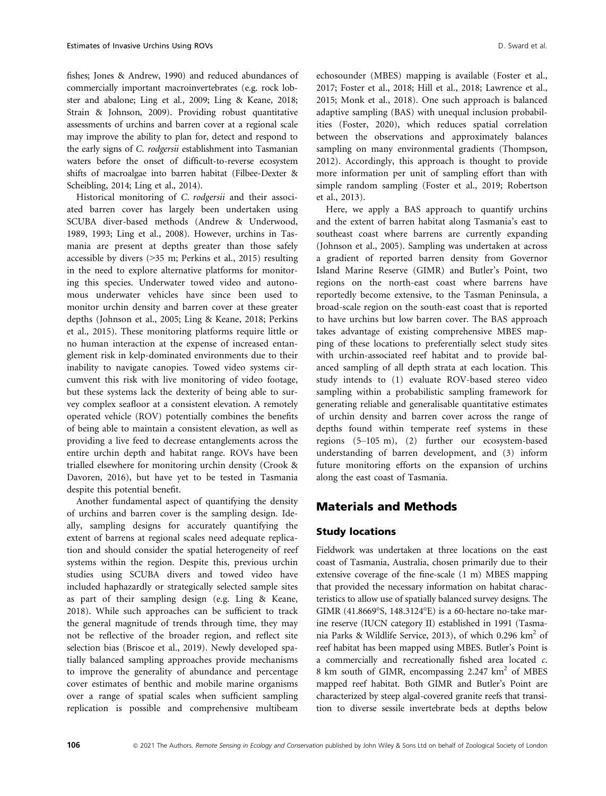fishes; Jones & Andrew, 1990) and reduced abundances of commercially important macroinvertebrates (e.g. rock lobster and abalone; Ling et al., 2009; Ling & Keane, 2018; Strain & Johnson, 2009). Providing robust quantitative assessments of urchins and barren cover at a regional scale may improve the ability to plan for, detect and respond to the early signs of C. rodgersii establishment into Tasmanian waters before the onset of difficult-to-reverse ecosystem shifts of macroalgae into barren habitat (Filbee-Dexter & Scheibling, 2014; Ling et al., 2014).

Historical monitoring of C. rodgersii and their associated barren cover has largely been undertaken using SCUBA diver-based methods (Andrew & Underwood, 1989, 1993; Ling et al., 2008). However, urchins in Tasmania are present at depths greater than those safely accessible by divers (>35 m; Perkins et al., 2015) resulting in the need to explore alternative platforms for monitoring this species. Underwater towed video and autonomous underwater vehicles have since been used to monitor urchin density and barren cover at these greater depths (Johnson et al., 2005; Ling & Keane, 2018; Perkins et al., 2015). These monitoring platforms require little or no human interaction at the expense of increased entanglement risk in kelp-dominated environments due to their inability to navigate canopies. Towed video systems circumvent this risk with live monitoring of video footage, but these systems lack the dexterity of being able to survey complex seafloor at a consistent elevation. A remotely operated vehicle (ROV) potentially combines the benefits of being able to maintain a consistent elevation, as well as providing a live feed to decrease entanglements across the entire urchin depth and habitat range. ROVs have been trialled elsewhere for monitoring urchin density (Crook & Davoren, 2016), but have yet to be tested in Tasmania despite this potential benefit.

Another fundamental aspect of quantifying the density of urchins and barren cover is the sampling design. Ideally, sampling designs for accurately quantifying the extent of barrens at regional scales need adequate replication and should consider the spatial heterogeneity of reef systems within the region. Despite this, previous urchin studies using SCUBA divers and towed video have included haphazardly or strategically selected sample sites as part of their sampling design (e.g. Ling & Keane, 2018). While such approaches can be sufficient to track the general magnitude of trends through time, they may not be reflective of the broader region, and reflect site selection bias (Briscoe et al., 2019). Newly developed spatially balanced sampling approaches provide mechanisms to improve the generality of abundance and percentage cover estimates of benthic and mobile marine organisms over a range of spatial scales when sufficient sampling replication is possible and comprehensive multibeam echosounder (MBES) mapping is available (Foster et al., 2017; Foster et al., 2018; Hill et al., 2018; Lawrence et al., 2015; Monk et al., 2018). One such approach is balanced adaptive sampling (BAS) with unequal inclusion probabilities (Foster, 2020), which reduces spatial correlation between the observations and approximately balances sampling on many environmental gradients (Thompson, 2012). Accordingly, this approach is thought to provide more information per unit of sampling effort than with simple random sampling (Foster et al., 2019; Robertson et al., 2013).

Here, we apply a BAS approach to quantify urchins and the extent of barren habitat along Tasmania's east to southeast coast where barrens are currently expanding (Johnson et al., 2005). Sampling was undertaken at across a gradient of reported barren density from Governor Island Marine Reserve (GIMR) and Butler's Point, two regions on the north-east coast where barrens have reportedly become extensive, to the Tasman Peninsula, a broad-scale region on the south-east coast that is reported to have urchins but low barren cover. The BAS approach takes advantage of existing comprehensive MBES mapping of these locations to preferentially select study sites with urchin-associated reef habitat and to provide balanced sampling of all depth strata at each location. This study intends to (1) evaluate ROV-based stereo video sampling within a probabilistic sampling framework for generating reliable and generalisable quantitative estimates of urchin density and barren cover across the range of depths found within temperate reef systems in these regions (5–105 m), (2) further our ecosystem-based understanding of barren development, and (3) inform future monitoring efforts on the expansion of urchins along the east coast of Tasmania.

# Materials and Methods

# Study locations

Fieldwork was undertaken at three locations on the east coast of Tasmania, Australia, chosen primarily due to their extensive coverage of the fine-scale (1 m) MBES mapping that provided the necessary information on habitat characteristics to allow use of spatially balanced survey designs. The GIMR (41.8669°S, 148.3124°E) is a 60-hectare no-take marine reserve (IUCN category II) established in 1991 (Tasmania Parks & Wildlife Service, 2013), of which 0.296 km<sup>2</sup> of reef habitat has been mapped using MBES. Butler's Point is a commercially and recreationally fished area located c. 8 km south of GIMR, encompassing 2.247 km<sup>2</sup> of MBES mapped reef habitat. Both GIMR and Butler's Point are characterized by steep algal-covered granite reefs that transition to diverse sessile invertebrate beds at depths below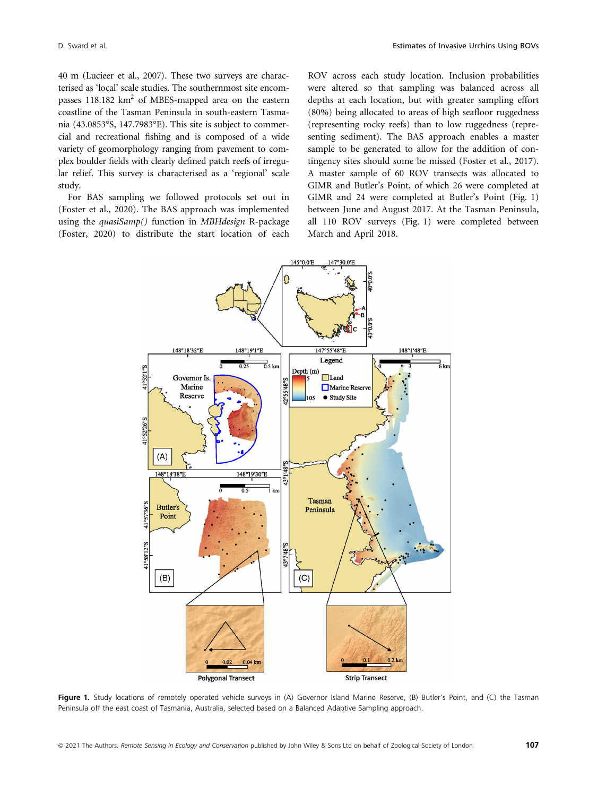40 m (Lucieer et al., 2007). These two surveys are characterised as 'local' scale studies. The southernmost site encompasses  $118.182 \text{ km}^2$  of MBES-mapped area on the eastern coastline of the Tasman Peninsula in south-eastern Tasmania (43.0853°S, 147.7983°E). This site is subject to commercial and recreational fishing and is composed of a wide variety of geomorphology ranging from pavement to complex boulder fields with clearly defined patch reefs of irregular relief. This survey is characterised as a 'regional' scale study.

For BAS sampling we followed protocols set out in (Foster et al., 2020). The BAS approach was implemented using the *quasiSamp*() function in *MBHdesign* R-package (Foster, 2020) to distribute the start location of each ROV across each study location. Inclusion probabilities were altered so that sampling was balanced across all depths at each location, but with greater sampling effort (80%) being allocated to areas of high seafloor ruggedness (representing rocky reefs) than to low ruggedness (representing sediment). The BAS approach enables a master sample to be generated to allow for the addition of contingency sites should some be missed (Foster et al., 2017). A master sample of 60 ROV transects was allocated to GIMR and Butler's Point, of which 26 were completed at GIMR and 24 were completed at Butler's Point (Fig. 1) between June and August 2017. At the Tasman Peninsula, all 110 ROV surveys (Fig. 1) were completed between March and April 2018.



Figure 1. Study locations of remotely operated vehicle surveys in (A) Governor Island Marine Reserve, (B) Butler's Point, and (C) the Tasman Peninsula off the east coast of Tasmania, Australia, selected based on a Balanced Adaptive Sampling approach.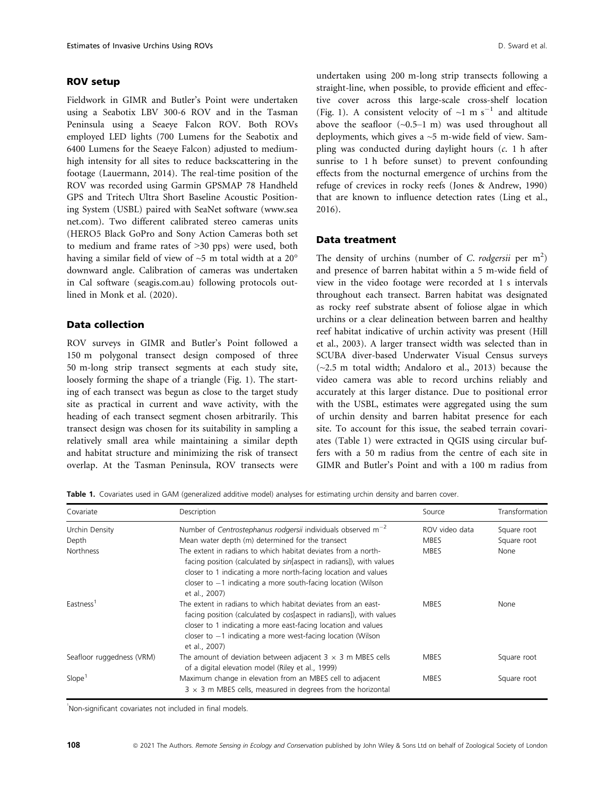#### ROV setup

Fieldwork in GIMR and Butler's Point were undertaken using a Seabotix LBV 300-6 ROV and in the Tasman Peninsula using a Seaeye Falcon ROV. Both ROVs employed LED lights (700 Lumens for the Seabotix and 6400 Lumens for the Seaeye Falcon) adjusted to mediumhigh intensity for all sites to reduce backscattering in the footage (Lauermann, 2014). The real-time position of the ROV was recorded using Garmin GPSMAP 78 Handheld GPS and Tritech Ultra Short Baseline Acoustic Positioning System (USBL) paired with SeaNet software ([www.sea](http://www.seanet.com) [net.com\)](http://www.seanet.com). Two different calibrated stereo cameras units (HERO5 Black GoPro and Sony Action Cameras both set to medium and frame rates of >30 pps) were used, both having a similar field of view of ~5 m total width at a 20° downward angle. Calibration of cameras was undertaken in Cal software [\(seagis.com.au](http://seagis.com.au)) following protocols outlined in Monk et al. (2020).

## Data collection

ROV surveys in GIMR and Butler's Point followed a 150 m polygonal transect design composed of three 50 m-long strip transect segments at each study site, loosely forming the shape of a triangle (Fig. 1). The starting of each transect was begun as close to the target study site as practical in current and wave activity, with the heading of each transect segment chosen arbitrarily. This transect design was chosen for its suitability in sampling a relatively small area while maintaining a similar depth and habitat structure and minimizing the risk of transect overlap. At the Tasman Peninsula, ROV transects were undertaken using 200 m-long strip transects following a straight-line, when possible, to provide efficient and effective cover across this large-scale cross-shelf location (Fig. 1). A consistent velocity of  $\sim$ 1 m s<sup>-1</sup> and altitude above the seafloor  $(-0.5-1 \text{ m})$  was used throughout all deployments, which gives a ~5 m-wide field of view. Sampling was conducted during daylight hours (c. 1 h after sunrise to 1 h before sunset) to prevent confounding effects from the nocturnal emergence of urchins from the refuge of crevices in rocky reefs (Jones & Andrew, 1990) that are known to influence detection rates (Ling et al., 2016).

# Data treatment

The density of urchins (number of C. rodgersii per  $m<sup>2</sup>$ ) and presence of barren habitat within a 5 m-wide field of view in the video footage were recorded at 1 s intervals throughout each transect. Barren habitat was designated as rocky reef substrate absent of foliose algae in which urchins or a clear delineation between barren and healthy reef habitat indicative of urchin activity was present (Hill et al., 2003). A larger transect width was selected than in SCUBA diver-based Underwater Visual Census surveys (~2.5 m total width; Andaloro et al., 2013) because the video camera was able to record urchins reliably and accurately at this larger distance. Due to positional error with the USBL, estimates were aggregated using the sum of urchin density and barren habitat presence for each site. To account for this issue, the seabed terrain covariates (Table 1) were extracted in QGIS using circular buffers with a 50 m radius from the centre of each site in GIMR and Butler's Point and with a 100 m radius from

Table 1. Covariates used in GAM (generalized additive model) analyses for estimating urchin density and barren cover.

| Covariate                 | Description                                                                                                                                                                                                                                                                               | Source         | Transformation |  |
|---------------------------|-------------------------------------------------------------------------------------------------------------------------------------------------------------------------------------------------------------------------------------------------------------------------------------------|----------------|----------------|--|
| Urchin Density            | Number of Centrostephanus rodgersii individuals observed $m^{-2}$                                                                                                                                                                                                                         | ROV video data | Square root    |  |
| Depth                     | Mean water depth (m) determined for the transect                                                                                                                                                                                                                                          | <b>MBES</b>    | Square root    |  |
| <b>Northness</b>          | The extent in radians to which habitat deviates from a north-<br>facing position (calculated by sin[aspect in radians]), with values<br>closer to 1 indicating a more north-facing location and values<br>closer to $-1$ indicating a more south-facing location (Wilson<br>et al., 2007) | <b>MBES</b>    | None           |  |
| Eastness <sup>1</sup>     | The extent in radians to which habitat deviates from an east-<br>facing position (calculated by cos[aspect in radians]), with values<br>closer to 1 indicating a more east-facing location and values<br>closer to $-1$ indicating a more west-facing location (Wilson<br>et al., 2007)   | <b>MBES</b>    | None           |  |
| Seafloor ruggedness (VRM) | The amount of deviation between adjacent $3 \times 3$ m MBES cells<br>of a digital elevation model (Riley et al., 1999)                                                                                                                                                                   | <b>MBES</b>    | Square root    |  |
| Slope <sup>1</sup>        | Maximum change in elevation from an MBES cell to adjacent<br>$3 \times 3$ m MBES cells, measured in degrees from the horizontal                                                                                                                                                           |                | Square root    |  |

1 Non-significant covariates not included in final models.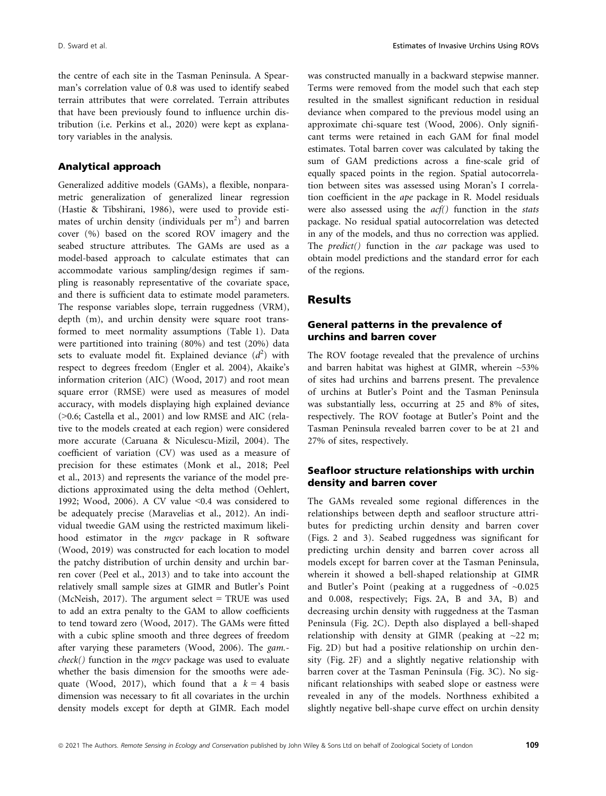the centre of each site in the Tasman Peninsula. A Spearman's correlation value of 0.8 was used to identify seabed terrain attributes that were correlated. Terrain attributes that have been previously found to influence urchin distribution (i.e. Perkins et al., 2020) were kept as explanatory variables in the analysis.

#### Analytical approach

Generalized additive models (GAMs), a flexible, nonparametric generalization of generalized linear regression (Hastie & Tibshirani, 1986), were used to provide estimates of urchin density (individuals per  $m^2$ ) and barren cover (%) based on the scored ROV imagery and the seabed structure attributes. The GAMs are used as a model-based approach to calculate estimates that can accommodate various sampling/design regimes if sampling is reasonably representative of the covariate space, and there is sufficient data to estimate model parameters. The response variables slope, terrain ruggedness (VRM), depth (m), and urchin density were square root transformed to meet normality assumptions (Table 1). Data were partitioned into training (80%) and test (20%) data sets to evaluate model fit. Explained deviance  $(d^2)$  with respect to degrees freedom (Engler et al. 2004), Akaike's information criterion (AIC) (Wood, 2017) and root mean square error (RMSE) were used as measures of model accuracy, with models displaying high explained deviance (>0.6; Castella et al., 2001) and low RMSE and AIC (relative to the models created at each region) were considered more accurate (Caruana & Niculescu-Mizil, 2004). The coefficient of variation (CV) was used as a measure of precision for these estimates (Monk et al., 2018; Peel et al., 2013) and represents the variance of the model predictions approximated using the delta method (Oehlert, 1992; Wood, 2006). A CV value  $\leq 0.4$  was considered to be adequately precise (Maravelias et al., 2012). An individual tweedie GAM using the restricted maximum likelihood estimator in the mgcv package in R software (Wood, 2019) was constructed for each location to model the patchy distribution of urchin density and urchin barren cover (Peel et al., 2013) and to take into account the relatively small sample sizes at GIMR and Butler's Point (McNeish, 2017). The argument select  $=$  TRUE was used to add an extra penalty to the GAM to allow coefficients to tend toward zero (Wood, 2017). The GAMs were fitted with a cubic spline smooth and three degrees of freedom after varying these parameters (Wood, 2006). The gam.  $check()$  function in the *mgcv* package was used to evaluate whether the basis dimension for the smooths were adequate (Wood, 2017), which found that a  $k = 4$  basis dimension was necessary to fit all covariates in the urchin density models except for depth at GIMR. Each model was constructed manually in a backward stepwise manner. Terms were removed from the model such that each step resulted in the smallest significant reduction in residual deviance when compared to the previous model using an approximate chi-square test (Wood, 2006). Only significant terms were retained in each GAM for final model estimates. Total barren cover was calculated by taking the sum of GAM predictions across a fine-scale grid of equally spaced points in the region. Spatial autocorrelation between sites was assessed using Moran's I correlation coefficient in the ape package in R. Model residuals were also assessed using the  $acf()$  function in the stats package. No residual spatial autocorrelation was detected in any of the models, and thus no correction was applied. The predict() function in the car package was used to obtain model predictions and the standard error for each of the regions.

## Results

#### General patterns in the prevalence of urchins and barren cover

The ROV footage revealed that the prevalence of urchins and barren habitat was highest at GIMR, wherein ~53% of sites had urchins and barrens present. The prevalence of urchins at Butler's Point and the Tasman Peninsula was substantially less, occurring at 25 and 8% of sites, respectively. The ROV footage at Butler's Point and the Tasman Peninsula revealed barren cover to be at 21 and 27% of sites, respectively.

## Seafloor structure relationships with urchin density and barren cover

The GAMs revealed some regional differences in the relationships between depth and seafloor structure attributes for predicting urchin density and barren cover (Figs. 2 and 3). Seabed ruggedness was significant for predicting urchin density and barren cover across all models except for barren cover at the Tasman Peninsula, wherein it showed a bell-shaped relationship at GIMR and Butler's Point (peaking at a ruggedness of ~0.025 and 0.008, respectively; Figs. 2A, B and 3A, B) and decreasing urchin density with ruggedness at the Tasman Peninsula (Fig. 2C). Depth also displayed a bell-shaped relationship with density at GIMR (peaking at  $\sim$ 22 m; Fig. 2D) but had a positive relationship on urchin density (Fig. 2F) and a slightly negative relationship with barren cover at the Tasman Peninsula (Fig. 3C). No significant relationships with seabed slope or eastness were revealed in any of the models. Northness exhibited a slightly negative bell-shape curve effect on urchin density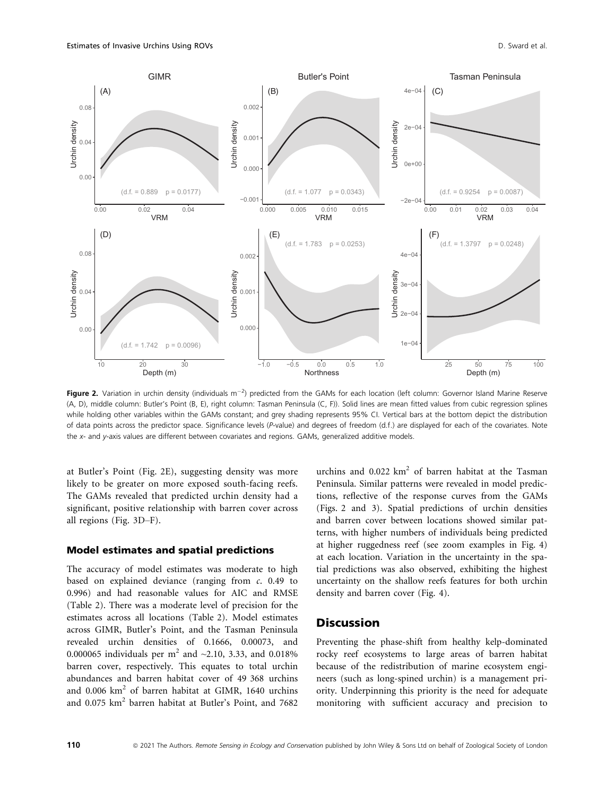

Figure 2. Variation in urchin density (individuals m<sup>-2</sup>) predicted from the GAMs for each location (left column: Governor Island Marine Reserve (A, D), middle column: Butler's Point (B, E), right column: Tasman Peninsula (C, F)). Solid lines are mean fitted values from cubic regression splines while holding other variables within the GAMs constant; and grey shading represents 95% CI. Vertical bars at the bottom depict the distribution of data points across the predictor space. Significance levels (P-value) and degrees of freedom (d.f.) are displayed for each of the covariates. Note the x- and y-axis values are different between covariates and regions. GAMs, generalized additive models.

at Butler's Point (Fig. 2E), suggesting density was more likely to be greater on more exposed south-facing reefs. The GAMs revealed that predicted urchin density had a significant, positive relationship with barren cover across all regions (Fig. 3D–F).

#### Model estimates and spatial predictions

The accuracy of model estimates was moderate to high based on explained deviance (ranging from c. 0.49 to 0.996) and had reasonable values for AIC and RMSE (Table 2). There was a moderate level of precision for the estimates across all locations (Table 2). Model estimates across GIMR, Butler's Point, and the Tasman Peninsula revealed urchin densities of 0.1666, 0.00073, and 0.000065 individuals per  $m^2$  and  $\sim$ 2.10, 3.33, and 0.018% barren cover, respectively. This equates to total urchin abundances and barren habitat cover of 49 368 urchins and 0.006 km<sup>2</sup> of barren habitat at GIMR, 1640 urchins and 0.075 km<sup>2</sup> barren habitat at Butler's Point, and 7682

urchins and  $0.022 \text{ km}^2$  of barren habitat at the Tasman Peninsula. Similar patterns were revealed in model predictions, reflective of the response curves from the GAMs (Figs. 2 and 3). Spatial predictions of urchin densities and barren cover between locations showed similar patterns, with higher numbers of individuals being predicted at higher ruggedness reef (see zoom examples in Fig. 4) at each location. Variation in the uncertainty in the spatial predictions was also observed, exhibiting the highest uncertainty on the shallow reefs features for both urchin density and barren cover (Fig. 4).

# **Discussion**

Preventing the phase-shift from healthy kelp-dominated rocky reef ecosystems to large areas of barren habitat because of the redistribution of marine ecosystem engineers (such as long-spined urchin) is a management priority. Underpinning this priority is the need for adequate monitoring with sufficient accuracy and precision to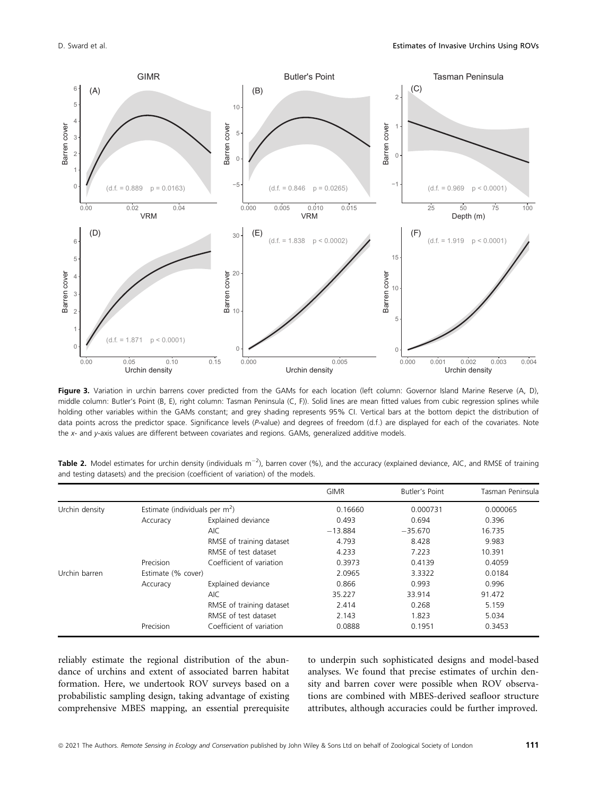

Figure 3. Variation in urchin barrens cover predicted from the GAMs for each location (left column: Governor Island Marine Reserve (A, D), middle column: Butler's Point (B, E), right column: Tasman Peninsula (C, F)). Solid lines are mean fitted values from cubic regression splines while holding other variables within the GAMs constant; and grey shading represents 95% CI. Vertical bars at the bottom depict the distribution of data points across the predictor space. Significance levels (P-value) and degrees of freedom (d.f.) are displayed for each of the covariates. Note the x- and y-axis values are different between covariates and regions. GAMs, generalized additive models.

|                |                    |                                  | <b>GIMR</b> | Butler's Point | Tasman Peninsula |
|----------------|--------------------|----------------------------------|-------------|----------------|------------------|
| Urchin density |                    | Estimate (individuals per $m2$ ) | 0.16660     | 0.000731       | 0.000065         |
|                | Accuracy           | Explained deviance               | 0.493       | 0.694          | 0.396            |
|                |                    | <b>AIC</b>                       | $-13.884$   | $-35.670$      | 16.735           |
|                |                    | RMSE of training dataset         | 4.793       | 8.428          | 9.983            |
|                |                    | RMSE of test dataset             | 4.233       | 7.223          | 10.391           |
|                | Precision          | Coefficient of variation         | 0.3973      | 0.4139         | 0.4059           |
| Urchin barren  | Estimate (% cover) |                                  | 2.0965      | 3.3322         | 0.0184           |
|                | Accuracy           | Explained deviance               | 0.866       | 0.993          | 0.996            |
|                |                    | <b>AIC</b>                       | 35.227      | 33.914         | 91.472           |
|                |                    | RMSE of training dataset         | 2.414       | 0.268          | 5.159            |
|                |                    | RMSE of test dataset             | 2.143       | 1.823          | 5.034            |
|                | Precision          | Coefficient of variation         | 0.0888      | 0.1951         | 0.3453           |

Table 2. Model estimates for urchin density (individuals m<sup>-2</sup>), barren cover (%), and the accuracy (explained deviance, AIC, and RMSE of training and testing datasets) and the precision (coefficient of variation) of the models.

reliably estimate the regional distribution of the abundance of urchins and extent of associated barren habitat formation. Here, we undertook ROV surveys based on a probabilistic sampling design, taking advantage of existing comprehensive MBES mapping, an essential prerequisite to underpin such sophisticated designs and model-based analyses. We found that precise estimates of urchin density and barren cover were possible when ROV observations are combined with MBES-derived seafloor structure attributes, although accuracies could be further improved.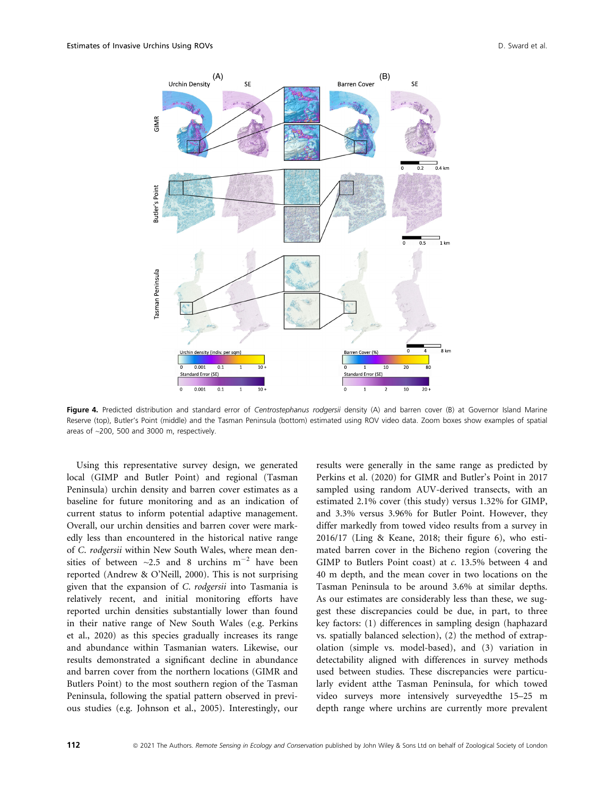

Fiqure 4. Predicted distribution and standard error of Centrostephanus rodgersii density (A) and barren cover (B) at Governor Island Marine Reserve (top), Butler's Point (middle) and the Tasman Peninsula (bottom) estimated using ROV video data. Zoom boxes show examples of spatial areas of ~200, 500 and 3000 m, respectively.

Using this representative survey design, we generated local (GIMP and Butler Point) and regional (Tasman Peninsula) urchin density and barren cover estimates as a baseline for future monitoring and as an indication of current status to inform potential adaptive management. Overall, our urchin densities and barren cover were markedly less than encountered in the historical native range of C. rodgersii within New South Wales, where mean densities of between  $\sim$ 2.5 and 8 urchins m<sup>-2</sup> have been reported (Andrew & O'Neill, 2000). This is not surprising given that the expansion of C. rodgersii into Tasmania is relatively recent, and initial monitoring efforts have reported urchin densities substantially lower than found in their native range of New South Wales (e.g. Perkins et al., 2020) as this species gradually increases its range and abundance within Tasmanian waters. Likewise, our results demonstrated a significant decline in abundance and barren cover from the northern locations (GIMR and Butlers Point) to the most southern region of the Tasman Peninsula, following the spatial pattern observed in previous studies (e.g. Johnson et al., 2005). Interestingly, our

results were generally in the same range as predicted by Perkins et al. (2020) for GIMR and Butler's Point in 2017 sampled using random AUV-derived transects, with an estimated 2.1% cover (this study) versus 1.32% for GIMP, and 3.3% versus 3.96% for Butler Point. However, they differ markedly from towed video results from a survey in 2016/17 (Ling & Keane, 2018; their figure 6), who estimated barren cover in the Bicheno region (covering the GIMP to Butlers Point coast) at c. 13.5% between 4 and 40 m depth, and the mean cover in two locations on the Tasman Peninsula to be around 3.6% at similar depths. As our estimates are considerably less than these, we suggest these discrepancies could be due, in part, to three key factors: (1) differences in sampling design (haphazard vs. spatially balanced selection), (2) the method of extrapolation (simple vs. model-based), and (3) variation in detectability aligned with differences in survey methods used between studies. These discrepancies were particularly evident atthe Tasman Peninsula, for which towed video surveys more intensively surveyedthe 15–25 m depth range where urchins are currently more prevalent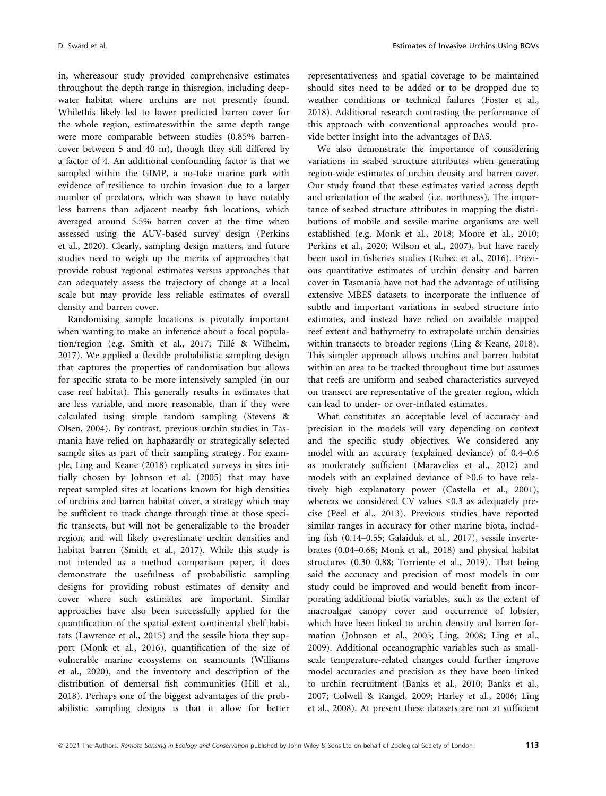in, whereasour study provided comprehensive estimates throughout the depth range in thisregion, including deepwater habitat where urchins are not presently found. Whilethis likely led to lower predicted barren cover for the whole region, estimateswithin the same depth range were more comparable between studies (0.85% barrencover between 5 and 40 m), though they still differed by a factor of 4. An additional confounding factor is that we sampled within the GIMP, a no-take marine park with evidence of resilience to urchin invasion due to a larger number of predators, which was shown to have notably less barrens than adjacent nearby fish locations, which averaged around 5.5% barren cover at the time when assessed using the AUV-based survey design (Perkins et al., 2020). Clearly, sampling design matters, and future studies need to weigh up the merits of approaches that provide robust regional estimates versus approaches that can adequately assess the trajectory of change at a local scale but may provide less reliable estimates of overall density and barren cover.

Randomising sample locations is pivotally important when wanting to make an inference about a focal population/region (e.g. Smith et al., 2017; Tillé & Wilhelm, 2017). We applied a flexible probabilistic sampling design that captures the properties of randomisation but allows for specific strata to be more intensively sampled (in our case reef habitat). This generally results in estimates that are less variable, and more reasonable, than if they were calculated using simple random sampling (Stevens & Olsen, 2004). By contrast, previous urchin studies in Tasmania have relied on haphazardly or strategically selected sample sites as part of their sampling strategy. For example, Ling and Keane (2018) replicated surveys in sites initially chosen by Johnson et al. (2005) that may have repeat sampled sites at locations known for high densities of urchins and barren habitat cover, a strategy which may be sufficient to track change through time at those specific transects, but will not be generalizable to the broader region, and will likely overestimate urchin densities and habitat barren (Smith et al., 2017). While this study is not intended as a method comparison paper, it does demonstrate the usefulness of probabilistic sampling designs for providing robust estimates of density and cover where such estimates are important. Similar approaches have also been successfully applied for the quantification of the spatial extent continental shelf habitats (Lawrence et al., 2015) and the sessile biota they support (Monk et al., 2016), quantification of the size of vulnerable marine ecosystems on seamounts (Williams et al., 2020), and the inventory and description of the distribution of demersal fish communities (Hill et al., 2018). Perhaps one of the biggest advantages of the probabilistic sampling designs is that it allow for better representativeness and spatial coverage to be maintained should sites need to be added or to be dropped due to weather conditions or technical failures (Foster et al., 2018). Additional research contrasting the performance of this approach with conventional approaches would provide better insight into the advantages of BAS.

We also demonstrate the importance of considering variations in seabed structure attributes when generating region-wide estimates of urchin density and barren cover. Our study found that these estimates varied across depth and orientation of the seabed (i.e. northness). The importance of seabed structure attributes in mapping the distributions of mobile and sessile marine organisms are well established (e.g. Monk et al., 2018; Moore et al., 2010; Perkins et al., 2020; Wilson et al., 2007), but have rarely been used in fisheries studies (Rubec et al., 2016). Previous quantitative estimates of urchin density and barren cover in Tasmania have not had the advantage of utilising extensive MBES datasets to incorporate the influence of subtle and important variations in seabed structure into estimates, and instead have relied on available mapped reef extent and bathymetry to extrapolate urchin densities within transects to broader regions (Ling & Keane, 2018). This simpler approach allows urchins and barren habitat within an area to be tracked throughout time but assumes that reefs are uniform and seabed characteristics surveyed on transect are representative of the greater region, which can lead to under- or over-inflated estimates.

What constitutes an acceptable level of accuracy and precision in the models will vary depending on context and the specific study objectives. We considered any model with an accuracy (explained deviance) of 0.4–0.6 as moderately sufficient (Maravelias et al., 2012) and models with an explained deviance of >0.6 to have relatively high explanatory power (Castella et al., 2001), whereas we considered CV values <0.3 as adequately precise (Peel et al., 2013). Previous studies have reported similar ranges in accuracy for other marine biota, including fish (0.14–0.55; Galaiduk et al., 2017), sessile invertebrates (0.04–0.68; Monk et al., 2018) and physical habitat structures (0.30–0.88; Torriente et al., 2019). That being said the accuracy and precision of most models in our study could be improved and would benefit from incorporating additional biotic variables, such as the extent of macroalgae canopy cover and occurrence of lobster, which have been linked to urchin density and barren formation (Johnson et al., 2005; Ling, 2008; Ling et al., 2009). Additional oceanographic variables such as smallscale temperature-related changes could further improve model accuracies and precision as they have been linked to urchin recruitment (Banks et al., 2010; Banks et al., 2007; Colwell & Rangel, 2009; Harley et al., 2006; Ling et al., 2008). At present these datasets are not at sufficient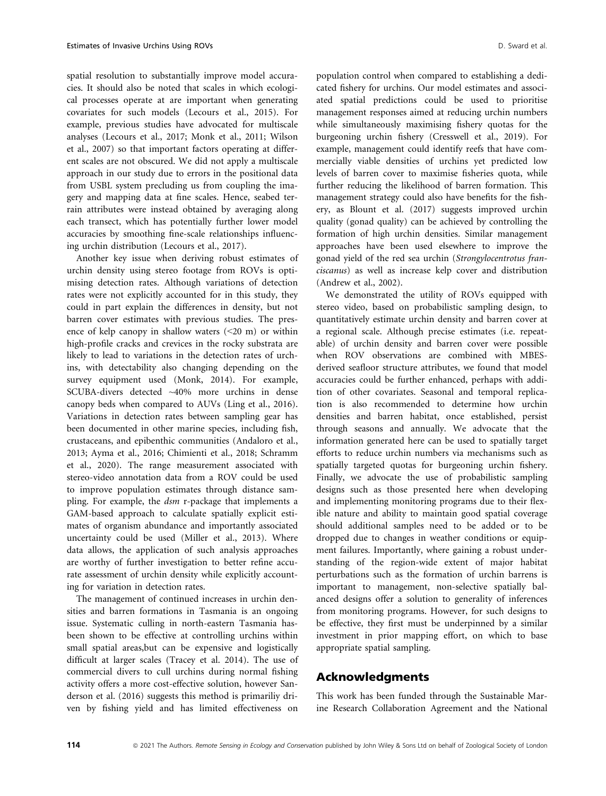spatial resolution to substantially improve model accuracies. It should also be noted that scales in which ecological processes operate at are important when generating covariates for such models (Lecours et al., 2015). For example, previous studies have advocated for multiscale analyses (Lecours et al., 2017; Monk et al., 2011; Wilson et al., 2007) so that important factors operating at different scales are not obscured. We did not apply a multiscale approach in our study due to errors in the positional data from USBL system precluding us from coupling the imagery and mapping data at fine scales. Hence, seabed terrain attributes were instead obtained by averaging along each transect, which has potentially further lower model accuracies by smoothing fine-scale relationships influencing urchin distribution (Lecours et al., 2017).

Another key issue when deriving robust estimates of urchin density using stereo footage from ROVs is optimising detection rates. Although variations of detection rates were not explicitly accounted for in this study, they could in part explain the differences in density, but not barren cover estimates with previous studies. The presence of kelp canopy in shallow waters  $(<20 \text{ m})$  or within high-profile cracks and crevices in the rocky substrata are likely to lead to variations in the detection rates of urchins, with detectability also changing depending on the survey equipment used (Monk, 2014). For example, SCUBA-divers detected ~40% more urchins in dense canopy beds when compared to AUVs (Ling et al., 2016). Variations in detection rates between sampling gear has been documented in other marine species, including fish, crustaceans, and epibenthic communities (Andaloro et al., 2013; Ayma et al., 2016; Chimienti et al., 2018; Schramm et al., 2020). The range measurement associated with stereo-video annotation data from a ROV could be used to improve population estimates through distance sampling. For example, the dsm r-package that implements a GAM-based approach to calculate spatially explicit estimates of organism abundance and importantly associated uncertainty could be used (Miller et al., 2013). Where data allows, the application of such analysis approaches are worthy of further investigation to better refine accurate assessment of urchin density while explicitly accounting for variation in detection rates.

The management of continued increases in urchin densities and barren formations in Tasmania is an ongoing issue. Systematic culling in north-eastern Tasmania hasbeen shown to be effective at controlling urchins within small spatial areas,but can be expensive and logistically difficult at larger scales (Tracey et al. 2014). The use of commercial divers to cull urchins during normal fishing activity offers a more cost-effective solution, however Sanderson et al. (2016) suggests this method is primariliy driven by fishing yield and has limited effectiveness on

population control when compared to establishing a dedicated fishery for urchins. Our model estimates and associated spatial predictions could be used to prioritise management responses aimed at reducing urchin numbers while simultaneously maximising fishery quotas for the burgeoning urchin fishery (Cresswell et al., 2019). For example, management could identify reefs that have commercially viable densities of urchins yet predicted low levels of barren cover to maximise fisheries quota, while further reducing the likelihood of barren formation. This management strategy could also have benefits for the fishery, as Blount et al. (2017) suggests improved urchin quality (gonad quality) can be achieved by controlling the formation of high urchin densities. Similar management approaches have been used elsewhere to improve the gonad yield of the red sea urchin (Strongylocentrotus franciscanus) as well as increase kelp cover and distribution (Andrew et al., 2002).

We demonstrated the utility of ROVs equipped with stereo video, based on probabilistic sampling design, to quantitatively estimate urchin density and barren cover at a regional scale. Although precise estimates (i.e. repeatable) of urchin density and barren cover were possible when ROV observations are combined with MBESderived seafloor structure attributes, we found that model accuracies could be further enhanced, perhaps with addition of other covariates. Seasonal and temporal replication is also recommended to determine how urchin densities and barren habitat, once established, persist through seasons and annually. We advocate that the information generated here can be used to spatially target efforts to reduce urchin numbers via mechanisms such as spatially targeted quotas for burgeoning urchin fishery. Finally, we advocate the use of probabilistic sampling designs such as those presented here when developing and implementing monitoring programs due to their flexible nature and ability to maintain good spatial coverage should additional samples need to be added or to be dropped due to changes in weather conditions or equipment failures. Importantly, where gaining a robust understanding of the region-wide extent of major habitat perturbations such as the formation of urchin barrens is important to management, non-selective spatially balanced designs offer a solution to generality of inferences from monitoring programs. However, for such designs to be effective, they first must be underpinned by a similar investment in prior mapping effort, on which to base appropriate spatial sampling.

# Acknowledgments

This work has been funded through the Sustainable Marine Research Collaboration Agreement and the National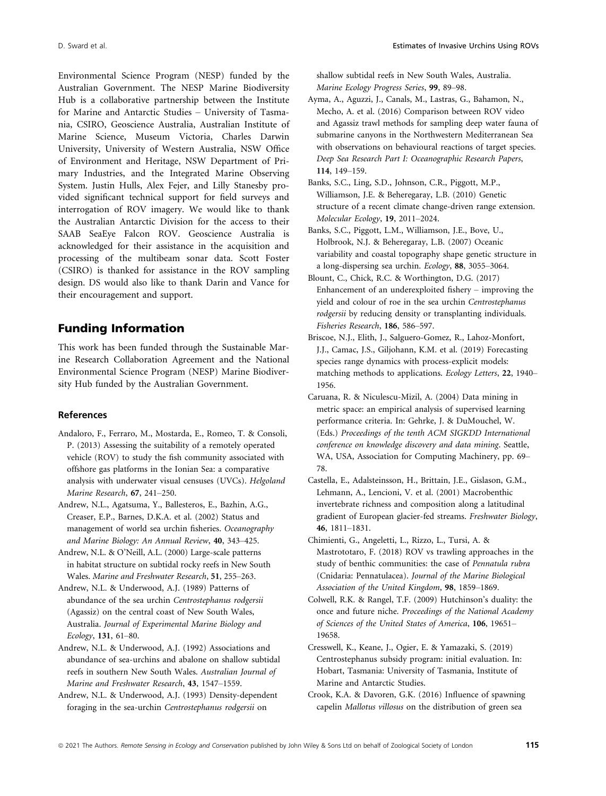Environmental Science Program (NESP) funded by the Australian Government. The NESP Marine Biodiversity Hub is a collaborative partnership between the Institute for Marine and Antarctic Studies – University of Tasmania, CSIRO, Geoscience Australia, Australian Institute of Marine Science, Museum Victoria, Charles Darwin University, University of Western Australia, NSW Office of Environment and Heritage, NSW Department of Primary Industries, and the Integrated Marine Observing System. Justin Hulls, Alex Fejer, and Lilly Stanesby provided significant technical support for field surveys and interrogation of ROV imagery. We would like to thank the Australian Antarctic Division for the access to their SAAB SeaEye Falcon ROV. Geoscience Australia is acknowledged for their assistance in the acquisition and processing of the multibeam sonar data. Scott Foster (CSIRO) is thanked for assistance in the ROV sampling design. DS would also like to thank Darin and Vance for their encouragement and support.

# Funding Information

This work has been funded through the Sustainable Marine Research Collaboration Agreement and the National Environmental Science Program (NESP) Marine Biodiversity Hub funded by the Australian Government.

#### References

- Andaloro, F., Ferraro, M., Mostarda, E., Romeo, T. & Consoli, P. (2013) Assessing the suitability of a remotely operated vehicle (ROV) to study the fish community associated with offshore gas platforms in the Ionian Sea: a comparative analysis with underwater visual censuses (UVCs). Helgoland Marine Research, 67, 241–250.
- Andrew, N.L., Agatsuma, Y., Ballesteros, E., Bazhin, A.G., Creaser, E.P., Barnes, D.K.A. et al. (2002) Status and management of world sea urchin fisheries. Oceanography and Marine Biology: An Annual Review, 40, 343–425.
- Andrew, N.L. & O'Neill, A.L. (2000) Large-scale patterns in habitat structure on subtidal rocky reefs in New South Wales. Marine and Freshwater Research, 51, 255–263.
- Andrew, N.L. & Underwood, A.J. (1989) Patterns of abundance of the sea urchin Centrostephanus rodgersii (Agassiz) on the central coast of New South Wales, Australia. Journal of Experimental Marine Biology and Ecology, 131, 61–80.
- Andrew, N.L. & Underwood, A.J. (1992) Associations and abundance of sea-urchins and abalone on shallow subtidal reefs in southern New South Wales. Australian Journal of Marine and Freshwater Research, 43, 1547–1559.
- Andrew, N.L. & Underwood, A.J. (1993) Density-dependent foraging in the sea-urchin Centrostephanus rodgersii on

shallow subtidal reefs in New South Wales, Australia. Marine Ecology Progress Series, 99, 89–98.

- Ayma, A., Aguzzi, J., Canals, M., Lastras, G., Bahamon, N., Mecho, A. et al. (2016) Comparison between ROV video and Agassiz trawl methods for sampling deep water fauna of submarine canyons in the Northwestern Mediterranean Sea with observations on behavioural reactions of target species. Deep Sea Research Part I: Oceanographic Research Papers, 114, 149–159.
- Banks, S.C., Ling, S.D., Johnson, C.R., Piggott, M.P., Williamson, J.E. & Beheregaray, L.B. (2010) Genetic structure of a recent climate change-driven range extension. Molecular Ecology, 19, 2011–2024.
- Banks, S.C., Piggott, L.M., Williamson, J.E., Bove, U., Holbrook, N.J. & Beheregaray, L.B. (2007) Oceanic variability and coastal topography shape genetic structure in a long-dispersing sea urchin. Ecology, 88, 3055–3064.
- Blount, C., Chick, R.C. & Worthington, D.G. (2017) Enhancement of an underexploited fishery – improving the yield and colour of roe in the sea urchin Centrostephanus rodgersii by reducing density or transplanting individuals. Fisheries Research, 186, 586–597.
- Briscoe, N.J., Elith, J., Salguero-Gomez, R., Lahoz-Monfort, J.J., Camac, J.S., Giljohann, K.M. et al. (2019) Forecasting species range dynamics with process-explicit models: matching methods to applications. Ecology Letters, 22, 1940– 1956.
- Caruana, R. & Niculescu-Mizil, A. (2004) Data mining in metric space: an empirical analysis of supervised learning performance criteria. In: Gehrke, J. & DuMouchel, W. (Eds.) Proceedings of the tenth ACM SIGKDD International conference on knowledge discovery and data mining. Seattle, WA, USA, Association for Computing Machinery, pp. 69– 78.
- Castella, E., Adalsteinsson, H., Brittain, J.E., Gislason, G.M., Lehmann, A., Lencioni, V. et al. (2001) Macrobenthic invertebrate richness and composition along a latitudinal gradient of European glacier-fed streams. Freshwater Biology, 46, 1811–1831.
- Chimienti, G., Angeletti, L., Rizzo, L., Tursi, A. & Mastrototaro, F. (2018) ROV vs trawling approaches in the study of benthic communities: the case of Pennatula rubra (Cnidaria: Pennatulacea). Journal of the Marine Biological Association of the United Kingdom, 98, 1859–1869.
- Colwell, R.K. & Rangel, T.F. (2009) Hutchinson's duality: the once and future niche. Proceedings of the National Academy of Sciences of the United States of America, 106, 19651– 19658.
- Cresswell, K., Keane, J., Ogier, E. & Yamazaki, S. (2019) Centrostephanus subsidy program: initial evaluation. In: Hobart, Tasmania: University of Tasmania, Institute of Marine and Antarctic Studies.
- Crook, K.A. & Davoren, G.K. (2016) Influence of spawning capelin Mallotus villosus on the distribution of green sea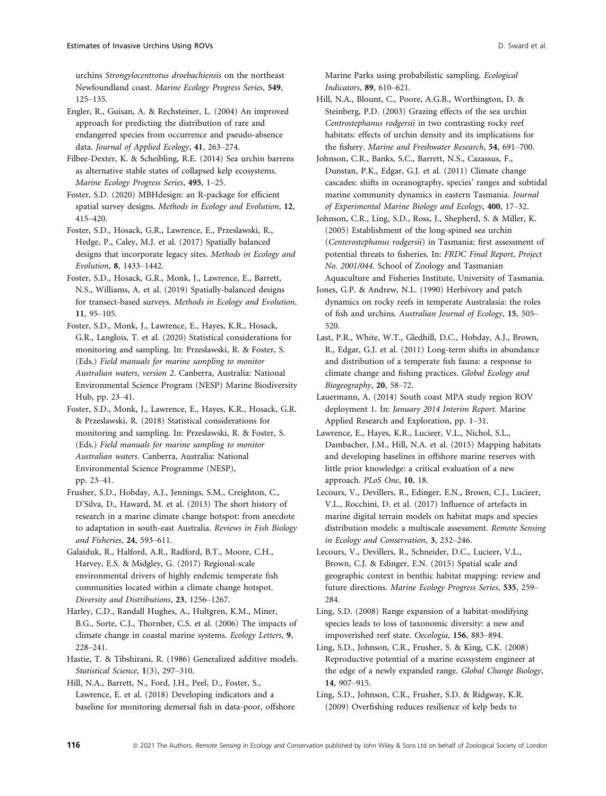urchins Strongylocentrotus droebachiensis on the northeast Newfoundland coast. Marine Ecology Progress Series, 549, 125–135.

Engler, R., Guisan, A. & Rechsteiner, L. (2004) An improved approach for predicting the distribution of rare and endangered species from occurrence and pseudo-absence data. Journal of Applied Ecology, 41, 263–274.

Filbee-Dexter, K. & Scheibling, R.E. (2014) Sea urchin barrens as alternative stable states of collapsed kelp ecosystems. Marine Ecology Progress Series, 495, 1–25.

Foster, S.D. (2020) MBHdesign: an R-package for efficient spatial survey designs. Methods in Ecology and Evolution, 12, 415–420.

Foster, S.D., Hosack, G.R., Lawrence, E., Przeslawski, R., Hedge, P., Caley, M.J. et al. (2017) Spatially balanced designs that incorporate legacy sites. Methods in Ecology and Evolution, 8, 1433–1442.

Foster, S.D., Hosack, G.R., Monk, J., Lawrence, E., Barrett, N.S., Williams, A. et al. (2019) Spatially-balanced designs for transect-based surveys. Methods in Ecology and Evolution, 11, 95–105.

Foster, S.D., Monk, J., Lawrence, E., Hayes, K.R., Hosack, G.R., Langlois, T. et al. (2020) Statistical considerations for monitoring and sampling. In: Przeslawski, R. & Foster, S. (Eds.) Field manuals for marine sampling to monitor Australian waters, version 2. Canberra, Australia: National Environmental Science Program (NESP) Marine Biodiversity Hub, pp. 23–41.

Foster, S.D., Monk, J., Lawrence, E., Hayes, K.R., Hosack, G.R. & Przeslawski, R. (2018) Statistical considerations for monitoring and sampling. In: Przeslawski, R. & Foster, S. (Eds.) Field manuals for marine sampling to monitor Australian waters. Canberra, Australia: National Environmental Science Programme (NESP), pp. 23–41.

Frusher, S.D., Hobday, A.J., Jennings, S.M., Creighton, C., D'Silva, D., Haward, M. et al. (2013) The short history of research in a marine climate change hotspot: from anecdote to adaptation in south-east Australia. Reviews in Fish Biology and Fisheries, 24, 593–611.

Galaiduk, R., Halford, A.R., Radford, B.T., Moore, C.H., Harvey, E.S. & Midgley, G. (2017) Regional-scale environmental drivers of highly endemic temperate fish communities located within a climate change hotspot. Diversity and Distributions, 23, 1256–1267.

Harley, C.D., Randall Hughes, A., Hultgren, K.M., Miner, B.G., Sorte, C.J., Thornber, C.S. et al. (2006) The impacts of climate change in coastal marine systems. Ecology Letters, 9, 228–241.

Hastie, T. & Tibshirani, R. (1986) Generalized additive models. Statistical Science, 1(3), 297–310.

Hill, N.A., Barrett, N., Ford, J.H., Peel, D., Foster, S., Lawrence, E. et al. (2018) Developing indicators and a baseline for monitoring demersal fish in data-poor, offshore Marine Parks using probabilistic sampling. Ecological Indicators, 89, 610–621.

Hill, N.A., Blount, C., Poore, A.G.B., Worthington, D. & Steinberg, P.D. (2003) Grazing effects of the sea urchin Centrostephanus rodgersii in two contrasting rocky reef habitats: effects of urchin density and its implications for the fishery. Marine and Freshwater Research, 54, 691–700.

Johnson, C.R., Banks, S.C., Barrett, N.S., Cazassus, F., Dunstan, P.K., Edgar, G.J. et al. (2011) Climate change cascades: shifts in oceanography, species' ranges and subtidal marine community dynamics in eastern Tasmania. Journal of Experimental Marine Biology and Ecology, 400, 17–32.

Johnson, C.R., Ling, S.D., Ross, J., Shepherd, S. & Miller, K. (2005) Establishment of the long-spined sea urchin (Centerostephanus rodgersii) in Tasmania: first assessment of potential threats to fisheries. In: FRDC Final Report, Project No. 2001/044. School of Zoology and Tasmanian Aquaculture and Fisheries Institute, University of Tasmania.

Jones, G.P. & Andrew, N.L. (1990) Herbivory and patch dynamics on rocky reefs in temperate Australasia: the roles of fish and urchins. Australian Journal of Ecology, 15, 505– 520.

Last, P.R., White, W.T., Gledhill, D.C., Hobday, A.J., Brown, R., Edgar, G.J. et al. (2011) Long-term shifts in abundance and distribution of a temperate fish fauna: a response to climate change and fishing practices. Global Ecology and Biogeography, 20, 58–72.

Lauermann, A. (2014) South coast MPA study region ROV deployment 1. In: January 2014 Interim Report. Marine Applied Research and Exploration, pp. 1–31.

Lawrence, E., Hayes, K.R., Lucieer, V.L., Nichol, S.L., Dambacher, J.M., Hill, N.A. et al. (2015) Mapping habitats and developing baselines in offshore marine reserves with little prior knowledge: a critical evaluation of a new approach. PLoS One, 10, 18.

Lecours, V., Devillers, R., Edinger, E.N., Brown, C.J., Lucieer, V.L., Rocchini, D. et al. (2017) Influence of artefacts in marine digital terrain models on habitat maps and species distribution models: a multiscale assessment. Remote Sensing in Ecology and Conservation, 3, 232–246.

Lecours, V., Devillers, R., Schneider, D.C., Lucieer, V.L., Brown, C.J. & Edinger, E.N. (2015) Spatial scale and geographic context in benthic habitat mapping: review and future directions. Marine Ecology Progress Series, 535, 259– 284.

Ling, S.D. (2008) Range expansion of a habitat-modifying species leads to loss of taxonomic diversity: a new and impoverished reef state. Oecologia, 156, 883–894.

Ling, S.D., Johnson, C.R., Frusher, S. & King, C.K. (2008) Reproductive potential of a marine ecosystem engineer at the edge of a newly expanded range. Global Change Biology, 14, 907–915.

Ling, S.D., Johnson, C.R., Frusher, S.D. & Ridgway, K.R. (2009) Overfishing reduces resilience of kelp beds to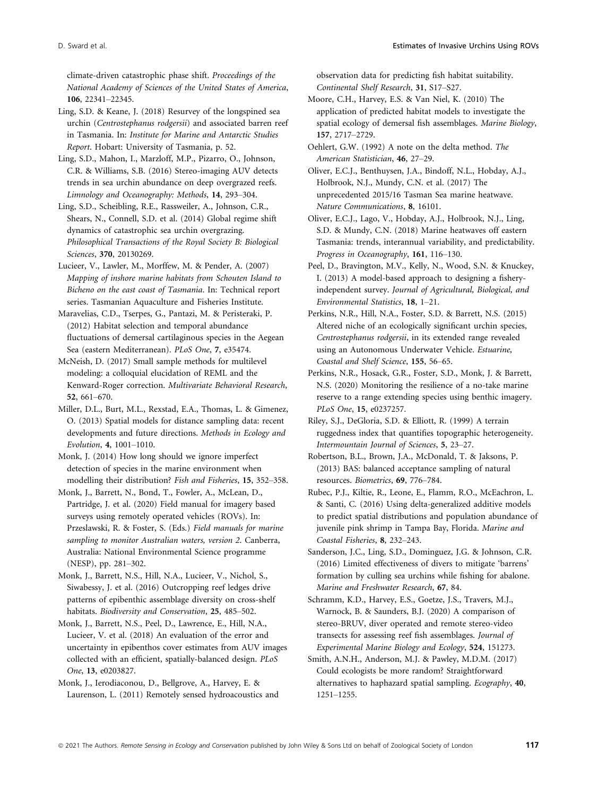climate-driven catastrophic phase shift. Proceedings of the National Academy of Sciences of the United States of America, 106, 22341–22345.

Ling, S.D. & Keane, J. (2018) Resurvey of the longspined sea urchin (Centrostephanus rodgersii) and associated barren reef in Tasmania. In: Institute for Marine and Antarctic Studies Report. Hobart: University of Tasmania, p. 52.

Ling, S.D., Mahon, I., Marzloff, M.P., Pizarro, O., Johnson, C.R. & Williams, S.B. (2016) Stereo-imaging AUV detects trends in sea urchin abundance on deep overgrazed reefs. Limnology and Oceanography: Methods, 14, 293–304.

Ling, S.D., Scheibling, R.E., Rassweiler, A., Johnson, C.R., Shears, N., Connell, S.D. et al. (2014) Global regime shift dynamics of catastrophic sea urchin overgrazing. Philosophical Transactions of the Royal Society B: Biological Sciences, 370, 20130269.

Lucieer, V., Lawler, M., Morffew, M. & Pender, A. (2007) Mapping of inshore marine habitats from Schouten Island to Bicheno on the east coast of Tasmania. In: Technical report series. Tasmanian Aquaculture and Fisheries Institute.

Maravelias, C.D., Tserpes, G., Pantazi, M. & Peristeraki, P. (2012) Habitat selection and temporal abundance fluctuations of demersal cartilaginous species in the Aegean Sea (eastern Mediterranean). PLoS One, 7, e35474.

McNeish, D. (2017) Small sample methods for multilevel modeling: a colloquial elucidation of REML and the Kenward-Roger correction. Multivariate Behavioral Research, 52, 661–670.

Miller, D.L., Burt, M.L., Rexstad, E.A., Thomas, L. & Gimenez, O. (2013) Spatial models for distance sampling data: recent developments and future directions. Methods in Ecology and Evolution, 4, 1001–1010.

Monk, J. (2014) How long should we ignore imperfect detection of species in the marine environment when modelling their distribution? Fish and Fisheries, 15, 352–358.

Monk, J., Barrett, N., Bond, T., Fowler, A., McLean, D., Partridge, J. et al. (2020) Field manual for imagery based surveys using remotely operated vehicles (ROVs). In: Przeslawski, R. & Foster, S. (Eds.) Field manuals for marine sampling to monitor Australian waters, version 2. Canberra, Australia: National Environmental Science programme (NESP), pp. 281–302.

Monk, J., Barrett, N.S., Hill, N.A., Lucieer, V., Nichol, S., Siwabessy, J. et al. (2016) Outcropping reef ledges drive patterns of epibenthic assemblage diversity on cross-shelf habitats. Biodiversity and Conservation, 25, 485–502.

Monk, J., Barrett, N.S., Peel, D., Lawrence, E., Hill, N.A., Lucieer, V. et al. (2018) An evaluation of the error and uncertainty in epibenthos cover estimates from AUV images collected with an efficient, spatially-balanced design. PLoS One, 13, e0203827.

Monk, J., Ierodiaconou, D., Bellgrove, A., Harvey, E. & Laurenson, L. (2011) Remotely sensed hydroacoustics and observation data for predicting fish habitat suitability. Continental Shelf Research, 31, S17–S27.

Moore, C.H., Harvey, E.S. & Van Niel, K. (2010) The application of predicted habitat models to investigate the spatial ecology of demersal fish assemblages. Marine Biology, 157, 2717–2729.

Oehlert, G.W. (1992) A note on the delta method. The American Statistician, 46, 27–29.

Oliver, E.C.J., Benthuysen, J.A., Bindoff, N.L., Hobday, A.J., Holbrook, N.J., Mundy, C.N. et al. (2017) The unprecedented 2015/16 Tasman Sea marine heatwave. Nature Communications, 8, 16101.

Oliver, E.C.J., Lago, V., Hobday, A.J., Holbrook, N.J., Ling, S.D. & Mundy, C.N. (2018) Marine heatwaves off eastern Tasmania: trends, interannual variability, and predictability. Progress in Oceanography, 161, 116–130.

Peel, D., Bravington, M.V., Kelly, N., Wood, S.N. & Knuckey, I. (2013) A model-based approach to designing a fisheryindependent survey. Journal of Agricultural, Biological, and Environmental Statistics, 18, 1–21.

Perkins, N.R., Hill, N.A., Foster, S.D. & Barrett, N.S. (2015) Altered niche of an ecologically significant urchin species, Centrostephanus rodgersii, in its extended range revealed using an Autonomous Underwater Vehicle. Estuarine, Coastal and Shelf Science, 155, 56–65.

Perkins, N.R., Hosack, G.R., Foster, S.D., Monk, J. & Barrett, N.S. (2020) Monitoring the resilience of a no-take marine reserve to a range extending species using benthic imagery. PLoS One, 15, e0237257.

Riley, S.J., DeGloria, S.D. & Elliott, R. (1999) A terrain ruggedness index that quantifies topographic heterogeneity. Intermountain Journal of Sciences, 5, 23–27.

Robertson, B.L., Brown, J.A., McDonald, T. & Jaksons, P. (2013) BAS: balanced acceptance sampling of natural resources. Biometrics, 69, 776–784.

Rubec, P.J., Kiltie, R., Leone, E., Flamm, R.O., McEachron, L. & Santi, C. (2016) Using delta-generalized additive models to predict spatial distributions and population abundance of juvenile pink shrimp in Tampa Bay, Florida. Marine and Coastal Fisheries, 8, 232–243.

Sanderson, J.C., Ling, S.D., Dominguez, J.G. & Johnson, C.R. (2016) Limited effectiveness of divers to mitigate 'barrens' formation by culling sea urchins while fishing for abalone. Marine and Freshwater Research, 67, 84.

Schramm, K.D., Harvey, E.S., Goetze, J.S., Travers, M.J., Warnock, B. & Saunders, B.J. (2020) A comparison of stereo-BRUV, diver operated and remote stereo-video transects for assessing reef fish assemblages. Journal of Experimental Marine Biology and Ecology, 524, 151273.

Smith, A.N.H., Anderson, M.J. & Pawley, M.D.M. (2017) Could ecologists be more random? Straightforward alternatives to haphazard spatial sampling. Ecography, 40, 1251–1255.